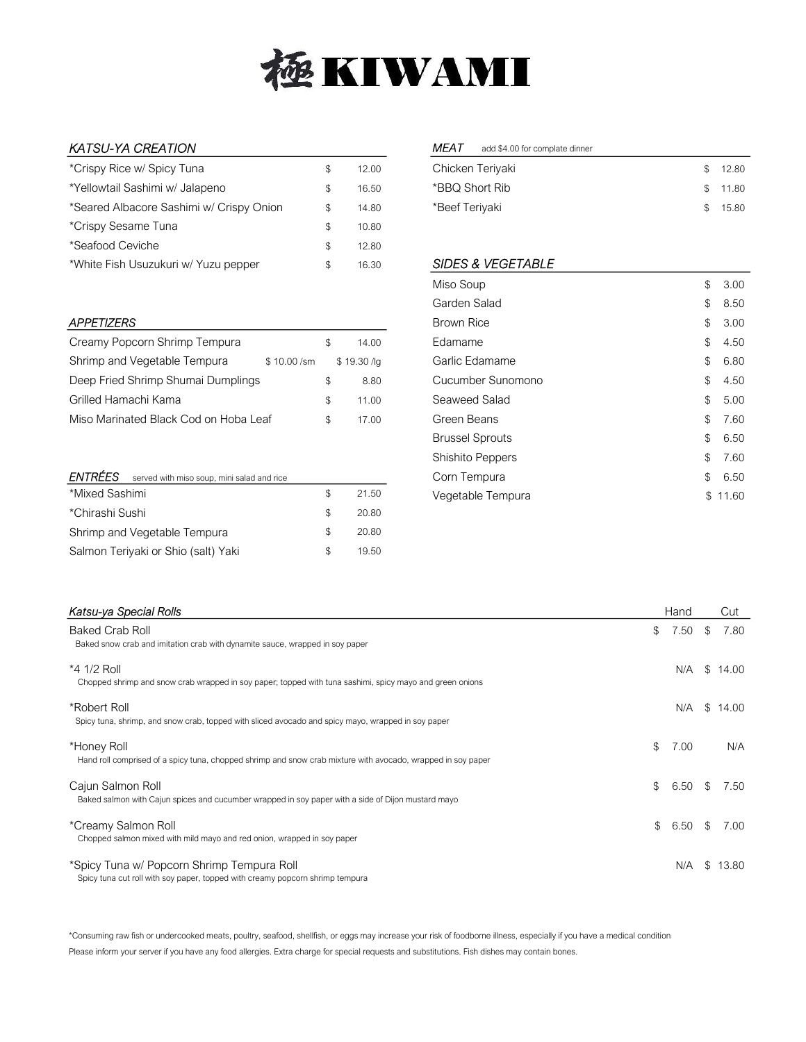

## KATSU-YA CREATION

| *Crispy Rice w/ Spicy Tuna               | S | 12 OO |
|------------------------------------------|---|-------|
| *Yellowtail Sashimi w/ Jalapeno          | S | 16.50 |
| *Seared Albacore Sashimi w/ Crispy Onion | S | 14.80 |
| *Crispy Sesame Tuna                      | S | 10.80 |
| *Seafood Ceviche                         | S | 12.80 |
| *White Fish Usuzukuri w/ Yuzu pepper     | S | 16.30 |

#### **APPETIZERS**

| Creamy Popcorn Shrimp Tempura         |              | SS. | 14.00       |
|---------------------------------------|--------------|-----|-------------|
| Shrimp and Vegetable Tempura          | $$10.00$ /sm |     | \$19.30 /lg |
| Deep Fried Shrimp Shumai Dumplings    |              | SS. | 8.80        |
| Grilled Hamachi Kama                  |              | £.  | 11.00       |
| Miso Marinated Black Cod on Hoba Leaf |              | \$. | 17.00       |

# **ENTRÉES** served with miso soup, mini salad and rice \*Mixed Sashimi \$ 21.50

| *Chirashi Sushi                     |     | 20.80 |
|-------------------------------------|-----|-------|
| Shrimp and Vegetable Tempura        | S.  | 20.80 |
| Salmon Teriyaki or Shio (salt) Yaki | SS. | 19.50 |

#### MEAT add \$4.00 for complate dinner

| Chicken Teriyaki | \$ 12.80 |
|------------------|----------|
| *BBQ Short Rib   | \$11.80  |
| *Beef Teriyaki   | \$15.80  |

### SIDES & VEGETABLE

| Miso Soup              | \$ | 3.00  |
|------------------------|----|-------|
| Garden Salad           | \$ | 8.50  |
| Brown Rice             | \$ | 3.00  |
| Edamame                | \$ | 4.50  |
| Garlic Edamame         | \$ | 6.80  |
| Cucumber Sunomono      | \$ | 4.50  |
| Seaweed Salad          | \$ | 5.00  |
| Green Beans            | \$ | 7.60  |
| <b>Brussel Sprouts</b> | \$ | 6.50  |
| Shishito Peppers       | \$ | 7.60  |
| Corn Tempura           | \$ | 6.50  |
| Vegetable Tempura      | S  | 11.60 |

| Katsu-ya Special Rolls                                                                                                      | Hand       |     | Cut     |
|-----------------------------------------------------------------------------------------------------------------------------|------------|-----|---------|
| <b>Baked Crab Roll</b><br>Baked snow crab and imitation crab with dynamite sauce, wrapped in soy paper                      | \$<br>7.50 | S   | 7.80    |
| *4 1/2 Roll<br>Chopped shrimp and snow crab wrapped in soy paper; topped with tuna sashimi, spicy mayo and green onions     | N/A        |     | \$14.00 |
| *Robert Roll<br>Spicy tuna, shrimp, and snow crab, topped with sliced avocado and spicy mayo, wrapped in soy paper          | N/A        |     | \$14.00 |
| *Honey Roll<br>Hand roll comprised of a spicy tuna, chopped shrimp and snow crab mixture with avocado, wrapped in soy paper | \$<br>7.00 |     | N/A     |
| Cajun Salmon Roll<br>Baked salmon with Cajun spices and cucumber wrapped in soy paper with a side of Dijon mustard mayo     | \$<br>6.50 | S.  | 7.50    |
| *Creamy Salmon Roll<br>Chopped salmon mixed with mild mayo and red onion, wrapped in soy paper                              | \$<br>6.50 | \$. | 7.00    |
| *Spicy Tuna w/ Popcorn Shrimp Tempura Roll<br>Spicy tuna cut roll with soy paper, topped with creamy popcorn shrimp tempura | N/A        | \$. | 13.80   |

\*Consuming raw fish or undercooked meats, poultry, seafood, shellfish, or eggs may increase your risk of foodborne illness, especially if you have a medical condition Please inform your server if you have any food allergies. Extra charge for special requests and substitutions. Fish dishes may contain bones.